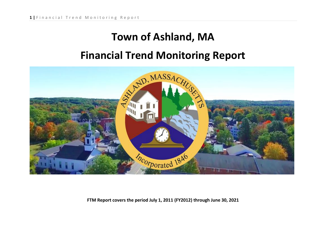# **Town of Ashland, MA**

# **Financial Trend Monitoring Report**



**FTM Report covers the period July 1, 2011 (FY2012) through June 30, 2021**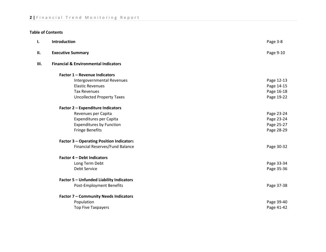### **Table of Contents**

| ı. | <b>Introduction</b>                             | Page 3-8   |
|----|-------------------------------------------------|------------|
| П. | <b>Executive Summary</b>                        | Page 9-10  |
| Ш. | <b>Financial &amp; Environmental Indicators</b> |            |
|    | Factor 1 - Revenue Indicators                   |            |
|    | Intergovernmental Revenues                      | Page 12-13 |
|    | <b>Elastic Revenues</b>                         | Page 14-15 |
|    | <b>Tax Revenues</b>                             | Page 16-18 |
|    | <b>Uncollected Property Taxes</b>               | Page 19-22 |
|    | Factor 2 - Expenditure Indicators               |            |
|    | Revenues per Capita                             | Page 23-24 |
|    | Expenditures per Capita                         | Page 23-24 |
|    | <b>Expenditures by Function</b>                 | Page 25-27 |
|    | <b>Fringe Benefits</b>                          | Page 28-29 |
|    | <b>Factor 3 - Operating Position Indicators</b> |            |
|    | Financial Reserves/Fund Balance                 | Page 30-32 |
|    | <b>Factor 4 - Debt Indicators</b>               |            |
|    | Long Term Debt                                  | Page 33-34 |
|    | <b>Debt Service</b>                             | Page 35-36 |
|    | <b>Factor 5 - Unfunded Liability Indicators</b> |            |
|    | Post-Employment Benefits                        | Page 37-38 |
|    | <b>Factor 7 - Community Needs Indicators</b>    |            |
|    | Population                                      | Page 39-40 |
|    | <b>Top Five Taxpayers</b>                       | Page 41-42 |
|    |                                                 |            |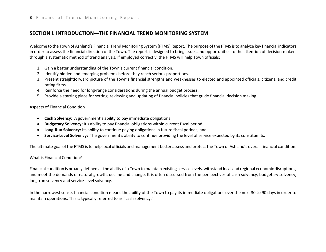### **SECTION I. INTRODUCTION—THE FINANCIAL TREND MONITORING SYSTEM**

Welcome to the Town of Ashland's Financial Trend Monitoring System (FTMS) Report. The purpose of the FTMS is to analyze key financial indicators in order to assess the financial direction of the Town. The report is designed to bring issues and opportunities to the attention of decision-makers through a systematic method of trend analysis. If employed correctly, the FTMS will help Town officials:

- 1. Gain a better understanding of the Town's current financial condition.
- 2. Identify hidden and emerging problems before they reach serious proportions.
- 3. Present straightforward picture of the Town's financial strengths and weaknesses to elected and appointed officials, citizens, and credit rating firms.
- 4. Reinforce the need for long-range considerations during the annual budget process.
- 5. Provide a starting place for setting, reviewing and updating of financial policies that guide financial decision making.

### Aspects of Financial Condition

- **Cash Solvency:** A government's ability to pay immediate obligations
- **Budgetary Solvency:** It's ability to pay financial obligations within current fiscal period
- **Long-Run Solvency:** Its ability to continue paying obligations in future fiscal periods, and
- **Service-Level Solvency:** The government's ability to continue providing the level of service expected by its constituents.

The ultimate goal of the FTMS is to help local officials and management better assess and protect the Town of Ashland's overall financial condition.

### What is Financial Condition?

Financial condition is broadly defined as the ability of a Town to maintain existing service levels, withstand local and regional economic disruptions, and meet the demands of natural growth, decline and change. It is often discussed from the perspectives of cash solvency, budgetary solvency, long-run solvency and service-level solvency.

In the narrowest sense, financial condition means the ability of the Town to pay its immediate obligations over the next 30 to 90 days in order to maintain operations. This is typically referred to as "cash solvency."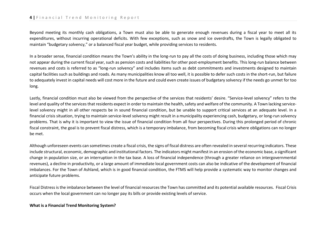Beyond meeting its monthly cash obligations, a Town must also be able to generate enough revenues during a fiscal year to meet all its expenditures, without incurring operational deficits. With few exceptions, such as snow and ice overdrafts, the Town is legally obligated to maintain "budgetary solvency," or a balanced fiscal year budget, while providing services to residents.

In a broader sense, financial condition means the Town's ability in the long-run to pay all the costs of doing business, including those which may not appear during the current fiscal year, such as pension costs and liabilities for other post-employment benefits. This long-run balance between revenues and costs is referred to as "long-run solvency" and includes items such as debt commitments and investments designed to maintain capital facilities such as buildings and roads. As many municipalities know all too well, it is possible to defer such costs in the short-run, but failure to adequately invest in capital needs will cost more in the future and could even create issues of budgetary solvency if the needs go unmet for too long.

Lastly, financial condition must also be viewed from the perspective of the services that residents' desire. "Service-level solvency" refers to the level and quality of the services that residents expect in order to maintain the health, safety and welfare of the community. A Town lacking servicelevel solvency might in all other respects be in sound financial condition, but be unable to support critical services at an adequate level. In a financial crisis situation, trying to maintain service-level solvency might result in a municipality experiencing cash, budgetary, or long-run solvency problems. That is why it is important to view the issue of financial condition from all four perspectives. During this prolonged period of chronic fiscal constraint, the goal is to prevent fiscal distress, which is a temporary imbalance, from becoming fiscal crisis where obligations can no longer be met.

Although unforeseen events can sometimes create a fiscal crisis, the signs of fiscal distress are often revealed in several recurring indicators. These include structural, economic, demographic and institutional factors. The indicators might manifest in an erosion of the economic base, a significant change in population size, or an interruption in the tax base. A loss of financial independence (through a greater reliance on intergovernmental revenues), a decline in productivity, or a large amount of immediate local government costs can also be indicative of the development of financial imbalances. For the Town of Ashland, which is in good financial condition, the FTMS will help provide a systematic way to monitor changes and anticipate future problems.

Fiscal Distress is the imbalance between the level of financial resources the Town has committed and its potential available resources. Fiscal Crisis occurs when the local government can no longer pay its bills or provide existing levels of service.

#### **What is a Financial Trend Monitoring System?**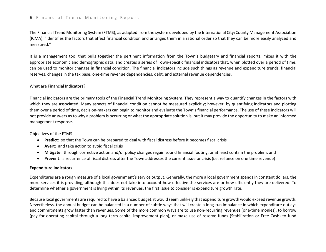The Financial Trend Monitoring System (FTMS), as adapted from the system developed by the International City/County Management Association (ICMA), "identifies the factors that affect financial condition and arranges them in a rational order so that they can be more easily analyzed and measured."

It is a management tool that pulls together the pertinent information from the Town's budgetary and financial reports, mixes it with the appropriate economic and demographic data, and creates a series of Town-specific financial indicators that, when plotted over a period of time, can be used to monitor changes in financial condition. The financial indicators include such things as revenue and expenditure trends, financial reserves, changes in the tax base, one-time revenue dependencies, debt, and external revenue dependencies.

### What are Financial Indicators?

Financial indicators are the primary tools of the Financial Trend Monitoring System. They represent a way to quantify changes in the factors with which they are associated. Many aspects of financial condition cannot be measured explicitly; however, by quantifying indicators and plotting them over a period of time, decision-makers can begin to monitor and evaluate the Town's financial performance. The use of these indicators will not provide answers as to why a problem is occurring or what the appropriate solution is, but it may provide the opportunity to make an informed management response.

### Objectives of the FTMS

- **Predict**: so that the Town can be prepared to deal with fiscal distress before it becomes fiscal crisis
- **Avert**: and take action to avoid fiscal crisis
- **Mitigate**: through corrective action and/or policy changes regain sound financial footing, or at least contain the problem, and
- **Prevent**: a recurrence of fiscal distress after the Town addresses the current issue or crisis (i.e. reliance on one time revenue)

### **Expenditure Indicators**

Expenditures are a rough measure of a local government's service output. Generally, the more a local government spends in constant dollars, the more services it is providing, although this does not take into account how effective the services are or how efficiently they are delivered. To determine whether a government is living within its revenues, the first issue to consider is expenditure growth rate.

Because local governments are required to have a balanced budget, it would seem unlikely that expenditure growth would exceed revenue growth. Nevertheless, the annual budget can be balanced in a number of subtle ways that will create a long-run imbalance in which expenditure outlays and commitments grow faster than revenues. Some of the more common ways are to use non-recurring revenues (one-time monies), to borrow (pay for operating capital through a long-term capital improvement plan), or make use of reserve funds (Stabilization or Free Cash) to fund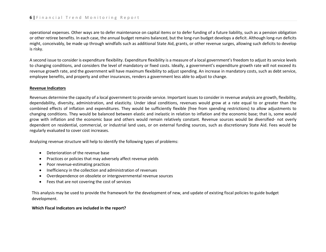operational expenses. Other ways are to defer maintenance on capital items or to defer funding of a future liability, such as a pension obligation or other retiree benefits. In each case, the annual budget remains balanced, but the long-run budget develops a deficit. Although long-run deficits might, conceivably, be made up through windfalls such as additional State Aid, grants, or other revenue surges, allowing such deficits to develop is risky.

A second issue to consider is expenditure flexibility. Expenditure flexibility is a measure of a local government's freedom to adjust its service levels to changing conditions, and considers the level of mandatory or fixed costs. Ideally, a government's expenditure growth rate will not exceed its revenue growth rate, and the government will have maximum flexibility to adjust spending. An increase in mandatory costs, such as debt service, employee benefits, and property and other insurances, renders a government less able to adjust to change.

### **Revenue Indicators**

Revenues determine the capacity of a local government to provide service. Important issues to consider in revenue analysis are growth, flexibility, dependability, diversity, administration, and elasticity. Under ideal conditions, revenues would grow at a rate equal to or greater than the combined effects of inflation and expenditures. They would be sufficiently flexible (free from spending restrictions) to allow adjustments to changing conditions. They would be balanced between elastic and inelastic in relation to inflation and the economic base; that is, some would grow with inflation and the economic base and others would remain relatively constant. Revenue sources would be diversified- not overly dependent on residential, commercial, or industrial land uses, or on external funding sources, such as discretionary State Aid. Fees would be regularly evaluated to cover cost increases.

Analyzing revenue structure will help to identify the following types of problems:

- Deterioration of the revenue base
- Practices or policies that may adversely affect revenue yields
- Poor revenue-estimating practices
- Inefficiency in the collection and administration of revenues
- Overdependence on obsolete or intergovernmental revenue sources
- Fees that are not covering the cost of services

This analysis may be used to provide the framework for the development of new, and update of existing fiscal policies to guide budget development.

### **Which Fiscal Indicators are included in the report?**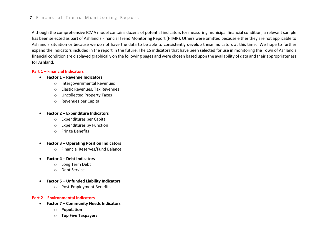Although the comprehensive ICMA model contains dozens of potential indicators for measuring municipal financial condition, a relevant sample has been selected as part of Ashland's Financial Trend Monitoring Report (FTMR). Others were omitted because either they are not applicable to Ashland's situation or because we do not have the data to be able to consistently develop these indicators at this time. We hope to further expand the indicators included in the report in the future. The 15 indicators that have been selected for use in monitoring the Town of Ashland's financial condition are displayed graphically on the following pages and were chosen based upon the availability of data and their appropriateness for Ashland.

#### **Part 1 – Financial Indicators**

- **Factor 1 – Revenue Indicators**
	- o Intergovernmental Revenues
	- o Elastic Revenues, Tax Revenues
	- o Uncollected Property Taxes
	- o Revenues per Capita
- **Factor 2 – Expenditure Indicators**
	- o Expenditures per Capita
	- o Expenditures by Function
	- o Fringe Benefits
- **Factor 3 – Operating Position Indicators**
	- o Financial Reserves/Fund Balance
- **Factor 4 – Debt Indicators**
	- o Long Term Debt
	- o Debt Service
- **Factor 5 – Unfunded Liability Indicators**
	- o Post-Employment Benefits

#### **Part 2 – Environmental Indicators**

- **Factor 7 – Community Needs Indicators**
	- o **Population**
	- o **Top Five Taxpayers**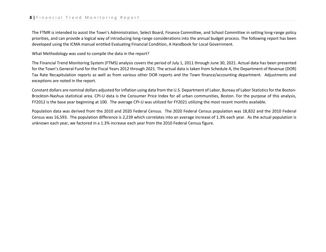The FTMR is intended to assist the Town's Administration, Select Board, Finance Committee, and School Committee in setting long-range policy priorities, and can provide a logical way of introducing long-range considerations into the annual budget process. The following report has been developed using the ICMA manual entitled Evaluating Financial Condition, A Handbook for Local Government.

What Methodology was used to compile the data in the report?

The Financial Trend Monitoring System (FTMS) analysis covers the period of July 1, 2011 through June 30, 2021. Actual data has been presented for the Town's General Fund for the Fiscal Years 2012 through 2021. The actual data is taken from Schedule A, the Department of Revenue (DOR) Tax Rate Recapitulation reports as well as from various other DOR reports and the Town finance/accounting department. Adjustments and exceptions are noted in the report.

Constant dollars are nominal dollars adjusted for inflation using data from the U.S. Department of Labor, Bureau of Labor Statistics for the Boston-Brockton-Nashua statistical area. CPI-U data is the Consumer Price Index for all urban communities, Boston. For the purpose of this analysis, FY2012 is the base year beginning at 100. The average CPI-U was utilized for FY2021 utilizing the most recent months available.

Population data was derived from the 2010 and 2020 Federal Census. The 2020 Federal Census population was 18,832 and the 2010 Federal Census was 16,593. The population difference is 2,239 which correlates into an average increase of 1.3% each year. As the actual population is unknown each year, we factored in a 1.3% increase each year from the 2010 Federal Census figure.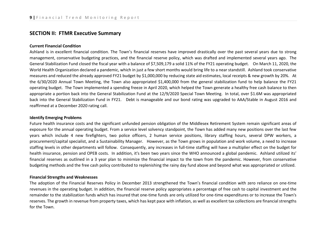### **SECTION II: FTMR Executive Summary**

#### **Current Financial Condition**

Ashland is in excellent financial condition. The Town's financial reserves have improved drastically over the past several years due to strong management, conservative budgeting practices, and the financial reserve policy, which was drafted and implemented several years ago. The General Stabilization Fund closed the fiscal year with a balance of \$7,509,179 a solid 11% of the FY21 operating budget. On March 11, 2020, the World Health Organization declared a pandemic, which in just a few short months would bring life to a near standstill. Ashland took conservative measures and reduced the already approved FY21 budget by \$1,000,000 by reducing state aid estimates, local receipts & new growth by 20%. At the 6/30/2020 Annual Town Meeting, the Town also appropriated \$1,400,000 from the general stabilization fund to help balance the FY21 operating budget. The Town implemented a spending freeze in April 2020, which helped the Town generate a healthy free cash balance to then appropriate a portion back into the General Stabilization Fund at the 12/9/2020 Special Town Meeting. In total, over \$1.6M was appropriated back into the General Stabilization Fund in FY21. Debt is manageable and our bond rating was upgraded to AAA/Stable in August 2016 and reaffirmed at a December 2020 rating call.

#### **Identify Emerging Problems**

Future health insurance costs and the significant unfunded pension obligation of the Middlesex Retirement System remain significant areas of exposure for the annual operating budget. From a service level solvency standpoint, the Town has added many new positions over the last few years which include 4 new firefighters, two police officers, 2 human service positions, library staffing hours, several DPW workers, a procurement/capital specialist, and a Sustainability Manager. However, as the Town grows in population and work volume, a need to increase staffing levels in other departments will follow. Consequently, any increases in full-time staffing will have a multiplier effect on the budget for health insurance, pension and OPEB costs. In addition, it's been two years since the WHO announced a global pandemic. Ashland utilized its' financial reserves as outlined in a 3 year plan to minimize the financial impact to the town from the pandemic. However, from conservative budgeting methods and the free cash policy contributed to replenishing the rainy day fund above and beyond what was appropriated or utilized.

#### **Financial Strengths and Weaknesses**

The adoption of the Financial Reserves Policy in December 2013 strengthened the Town's financial condition with zero reliance on one-time revenues in the operating budget. In addition, the financial reserve policy appropriates a percentage of free cash to capital investment and the remainder to the stabilization funds which has insured that one-time funds are only utilized for one-time expenditures or to increase the Town's reserves. The growth in revenue from property taxes, which has kept pace with inflation, as well as excellent tax collections are financial strengths for the Town.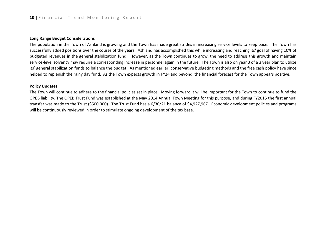#### **Long Range Budget Considerations**

The population in the Town of Ashland is growing and the Town has made great strides in increasing service levels to keep pace. The Town has successfully added positions over the course of the years. Ashland has accomplished this while increasing and reaching its' goal of having 10% of budgeted revenues in the general stabilization fund. However, as the Town continues to grow, the need to address this growth and maintain service-level solvency may require a corresponding increase in personnel again in the future. The Town is also on year 3 of a 3 year plan to utilize its' general stabilization funds to balance the budget. As mentioned earlier, conservative budgeting methods and the free cash policy have since helped to replenish the rainy day fund. As the Town expects growth in FY24 and beyond, the financial forecast for the Town appears positive.

#### **Policy Updates**

The Town will continue to adhere to the financial policies set in place. Moving forward it will be important for the Town to continue to fund the OPEB liability. The OPEB Trust Fund was established at the May 2014 Annual Town Meeting for this purpose, and during FY2015 the first annual transfer was made to the Trust (\$500,000). The Trust Fund has a 6/30/21 balance of \$4,927,967. Economic development policies and programs will be continuously reviewed in order to stimulate ongoing development of the tax base.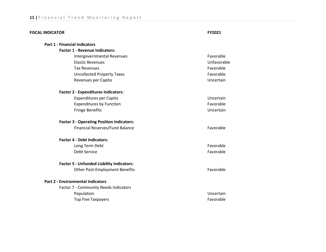| <b>FISCAL INDICATOR</b>                          | FY2021      |
|--------------------------------------------------|-------------|
| <b>Part 1 - Financial Indicators</b>             |             |
| <b>Factor 1 - Revenue Indicators:</b>            |             |
| Intergovernmental Revenues                       | Favorable   |
| <b>Elastic Revenues</b>                          | Unfavorable |
| <b>Tax Revenues</b>                              | Favorable   |
| <b>Uncollected Property Taxes</b>                | Favorable   |
| Revenues per Capita                              | Uncertain   |
| <b>Factor 2 - Expenditures Indicators:</b>       |             |
| <b>Expenditures per Capita</b>                   | Uncertain   |
| <b>Expenditures by Function</b>                  | Favorable   |
| <b>Fringe Benefits</b>                           | Uncertain   |
| <b>Factor 3 - Operating Position Indicators:</b> |             |
| Financial Reserves/Fund Balance                  | Favorable   |
| <b>Factor 4 - Debt Indicators:</b>               |             |
| Long Term Debt                                   | Favorable   |
| <b>Debt Service</b>                              | Favorable   |
| <b>Factor 5 - Unfunded Liability Indicators:</b> |             |
| <b>Other Post-Employment Benefits</b>            | Favorable   |
| <b>Part 2 - Environmental Indicators</b>         |             |
| Factor 7 - Community Needs Indicators            |             |
| Population                                       | Uncertain   |
| <b>Top Five Taxpayers</b>                        | Favorable   |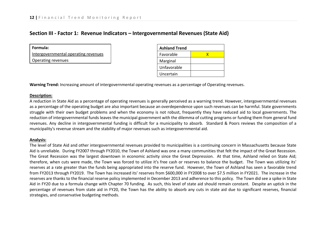### **Section III - Factor 1: Revenue Indicators – Intergovernmental Revenues (State Aid)**

| Formula:                             |
|--------------------------------------|
| Intergovernmental operating revenues |
| Operating revenues                   |

| <b>Ashland Trend</b> |   |  |  |  |  |  |  |
|----------------------|---|--|--|--|--|--|--|
| Favorable            | x |  |  |  |  |  |  |
| Marginal             |   |  |  |  |  |  |  |
| Unfavorable          |   |  |  |  |  |  |  |
| Uncertain            |   |  |  |  |  |  |  |

**Warning Trend:** Increasing amount of intergovernmental operating revenues as a percentage of Operating revenues.

### **Description:**

A reduction in State Aid as a percentage of operating revenues is generally perceived as a warning trend. However, intergovernmental revenues as a percentage of the operating budget are also important because an overdependence upon such revenues can be harmful. State governments struggle with their own budget problems and when the economy is not robust, frequently they have reduced aid to local governments. The reduction of intergovernmental funds leaves the municipal government with the dilemma of cutting programs or funding them from general fund revenues. Any decline in intergovernmental funding is difficult for a municipality to absorb. Standard & Poors reviews the composition of a municipality's revenue stream and the stability of major revenues such as intergovernmental aid.

### **Analysis:**

The level of State Aid and other intergovernmental revenues provided to municipalities is a continuing concern in Massachusetts because State Aid is unreliable. During FY2007 through FY2010, the Town of Ashland was one a many communities that felt the impact of the Great Recession. The Great Recession was the largest downtown in economic activity since the Great Depression. At that time, Ashland relied on State Aid; therefore, when cuts were made, the Town was forced to utilize it's free cash or reserves to balance the budget. The Town was utilizing its' reserves at a rate greater than the funds being appropriated into the reserve fund. However, the Town of Ashland has seen a favorable trend from FY2013 through FY2019. The Town has increased its' reserves from \$600,000 in FY2008 to over \$7.5 million in FY2021. The increase in the reserves are thanks to the financial reserve policy implemented in December 2013 and adherence to this policy. The Town did see a spike in State Aid in FY20 due to a formula change with Chapter 70 funding. As such, this level of state aid should remain constant. Despite an uptick in the percentage of revenues from state aid in FY20, the Town has the ability to absorb any cuts in state aid due to significant reserves, financial strategies, and conservative budgeting methods.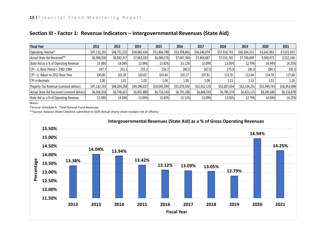| <b>Fiscal Year</b>                           | 2012         | 2013         | 2014         | 2015         | 2016         | 2017         | 2018         | 2019         | 2020         | 2021         |
|----------------------------------------------|--------------|--------------|--------------|--------------|--------------|--------------|--------------|--------------|--------------|--------------|
| Operating revenue*                           | \$47,132,191 | \$48,721,532 | \$50,682,434 | \$51,866,788 | \$53,708,861 | \$56,546,074 | \$57,910,743 | \$60,504,315 | 63,642,963   | 67,023,933   |
| Actual State Aid Received**                  | \$6,306,918  | \$6,842,317  | \$7,063,033  | \$6,960,576  | \$7,047,364  | \$7,404,687  | \$7,555,765  | \$7,740,404  | 9,509,973    | 9,552,160    |
| State Aid as a % of Operating Revenue        | 13.38%       | 14.04%       | 13.94%       | 13.42%       | 13.12%       | 13.09%       | 13.05%       | 12.79%       | 14.94%       | 14.25%       |
| CPI - U, Base Period = 1982-1984             | 247.7        | 251.1        | 255.2        | 256.7        | 260.5        | 267.0        | 275.8        | 281.0        | 284.3        | 291.5        |
| CPI - U, Adjust to 2012 Base Year            | 100.00       | 101.39       | 103.02       | 103.64       | 105.17       | 107.81       | 111.35       | 113.44       | 114.78       | 117.68       |
| CPI in decimals                              | 1.00         | 1.01         | 1.03         | 1.04         | 1.05         | 1.08         | 1.11         | 1.13         | 1.15         | 1.18         |
| Property Tax Revenue (constant dollars)      | \$47,132,191 | \$48,054,358 | \$49,196,027 | \$50,045,394 | \$51,070,592 | \$52,452,178 | \$52,007,654 | \$53,334,231 | \$55,449,743 | \$56,953,098 |
| Actual State Aid Received (constant dollars) | \$6,306,918  | \$6,748,621  | \$6,855,889  | \$6,716,143  | \$6,701,186  | \$6,868,593  | \$6,785,574  | \$6,823,125  | \$8,285,685  | \$8,116,878  |
| State Aid as a % of Operating Revenue        | 13.38%       | 14.04%       | 13.94%       | 13.42%       | 13.12%       | 13.09%       | 13.05%       | 12.79%       | 14.94%       | 14.25%       |

### **Section III - Factor 1: Revenue Indicators – Intergovernmental Revenues (State Aid)**

Notes:

\*Source: Schedule A - Total General Fund Revenues.

\*\*Source: Balance Sheet Checklist submitted to DOR (Actual cherry sheet receipts net of offsets)

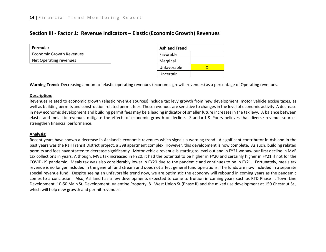### **Section III - Factor 1: Revenue Indicators – Elastic (Economic Growth) Revenues**

**Formula:**

Economic Growth Revenues

Net Operating revenues

| <b>Ashland Trend</b> |  |  |  |  |  |  |
|----------------------|--|--|--|--|--|--|
| Favorable            |  |  |  |  |  |  |
| Marginal             |  |  |  |  |  |  |
| Unfavorable          |  |  |  |  |  |  |
| Uncertain            |  |  |  |  |  |  |

**Warning Trend:** Decreasing amount of elastic operating revenues (economic growth revenues) as a percentage of Operating revenues.

### **Description:**

Revenues related to economic growth (elastic revenue sources) include tax levy growth from new development, motor vehicle excise taxes, as well as building permits and construction related permit fees. These revenues are sensitive to changes in the level of economic activity. A decrease in new economic development and building permit fees may be a leading indicator of smaller future increases in the tax levy. A balance between elastic and inelastic revenues mitigate the effects of economic growth or decline. Standard & Poors believes that diverse revenue sources strengthen financial performance.

### **Analysis:**

Recent years have shown a decrease in Ashland's economic revenues which signals a warning trend. A significant contributor in Ashland in the past years was the Rail Transit District project, a 398 apartment complex. However, this development is now complete. As such, building related permits and fees have started to decrease significantly. Motor vehicle revenue is starting to level out and in FY21 we saw our first decline in MVE tax collections in years. Although, MVE tax increased in FY20, it had the potential to be higher in FY20 and certainly higher in FY21 if not for the COVID-19 pandemic. Meals tax was also considerably lower in FY20 due to the pandemic and continues to be in FY21. Fortunately, meals tax revenue is no longer included in the general fund stream and does not affect general fund operations. The funds are now included in a separate special revenue fund. Despite seeing an unfavorable trend now, we are optimistic the economy will rebound in coming years as the pandemic comes to a conclusion. Also, Ashland has a few developments expected to come to fruition in coming years such as RTD Phase II, Town Line Development, 10-50 Main St, Development, Valentine Property, 81 West Union St (Phase II) and the mixed use development at 150 Chestnut St., which will help new growth and permit revenues.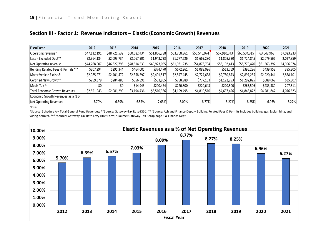| <b>Fiscal Year</b>                 | 2012         | 2013         | 2014         | 2015         | 2016         | 2017         | 2018         | 2019         | 2020         | 2021       |
|------------------------------------|--------------|--------------|--------------|--------------|--------------|--------------|--------------|--------------|--------------|------------|
| Operating revenue*                 | \$47,132,191 | \$48,721,532 | \$50,682,434 | \$51,866,788 | \$53,708,861 | \$56,546,074 | \$57,910,743 | \$60,504,315 | 63,642,963   | 67,023,933 |
| Less - Excluded Debt**             | \$2,364,184  | \$2,093,734  | \$2,067,901  | \$1,943,733  | \$1,777,626  | \$1,669,280  | \$1,808,330  | \$1,724,845  | \$2,079,566  | 2,027,859  |
| Net Operating revenue              | \$44,768,007 | \$46,627,798 | \$48,614,533 | \$49,923,055 | \$51,931,235 | \$54,876,794 | \$56,102,413 | \$58,779,470 | \$61,563,397 | 64,996,074 |
| Building Related Fees & Permits*** | \$207,294    | \$295,344    | \$464,005    | \$374,470    | \$672,261    | \$1,088,096  | \$513,759    | \$395,286    | \$439,953    | 395,205    |
| Motor Vehicle Excise&              | \$2,085,271  | \$2,401,472  | \$2,358,597  | \$2,401,517  | \$2,547,445  | \$2,724,638  | \$2,780,873  | \$2,897,255  | \$2,920,444  | 2,838,101  |
| Certified New Growth*              | \$259,378    | \$284,483    | \$356,891    | \$533,905    | \$758,989    | \$777,133    | \$1,122,293  | \$1,292,825  | \$688,069    | 635,807    |
| Meals Tax ^                        | \$0          | \$0          | \$14,943     | \$200,474    | \$220,800    | \$220,643    | \$220,500    | \$263,506    | \$233,380    | 207,511    |
| Total Economic Growth Revenues     | \$2,551,943  | \$2,981,299  | \$3,194,436  | \$3,510,366  | \$4,199,495  | \$4,810,510  | \$4,637,426  | \$4,848,872  | \$4,281,847  | 4,076,623  |
| Economic Growth Revenues as a % of |              |              |              |              |              |              |              |              |              |            |
| <b>Net Operating Revenues</b>      | 5.70%        | 6.39%        | 6.57%        | 7.03%        | 8.09%        | 8.77%        | 8.27%        | 8.25%        | 6.96%        | 6.27%      |

### **Section III - Factor 1: Revenue Indicators – Elastic (Economic Growth) Revenues**

Notes:

\*Source: Schedule A – Total General Fund Revenues; \*\*Source: Gateway-Tax Rate-DE-1; \*\*\*Source: Ashland Finance Dept. – Building Related Fees & Permits includes building, gas & plumbing, and wiring permits. \*\*\*\*Source: Gateway-Tax Rate-Levy Limit Form; ^Source: Gateway-Tax Recap page 3 & Finance Dept.

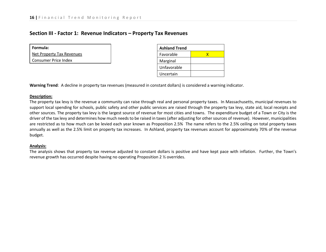### **Section III - Factor 1: Revenue Indicators – Property Tax Revenues**

| Formula: |  |
|----------|--|
|----------|--|

Net Property Tax Revenues

Consumer Price Index

| <b>Ashland Trend</b> |   |  |  |  |  |  |  |
|----------------------|---|--|--|--|--|--|--|
| Favorable            | x |  |  |  |  |  |  |
| Marginal             |   |  |  |  |  |  |  |
| Unfavorable          |   |  |  |  |  |  |  |
| Uncertain            |   |  |  |  |  |  |  |

**Warning Trend**: A decline in property tax revenues (measured in constant dollars) is considered a warning indicator.

### **Description:**

The property tax levy is the revenue a community can raise through real and personal property taxes. In Massachusetts, municipal revenues to support local spending for schools, public safety and other public services are raised through the property tax levy, state aid, local receipts and other sources. The property tax levy is the largest source of revenue for most cities and towns. The expenditure budget of a Town or City is the driver of the tax levy and determines how much needs to be raised in taxes (after adjusting for other sources of revenue). However, municipalities are restricted as to how much can be levied each year known as Proposition 2.5% The name refers to the 2.5% ceiling on total property taxes annually as well as the 2.5% limit on property tax increases. In Ashland, property tax revenues account for approximately 70% of the revenue budget.

### **Analysis:**

The analysis shows that property tax revenue adjusted to constant dollars is positive and have kept pace with inflation. Further, the Town's revenue growth has occurred despite having no operating Proposition 2 ½ overrides.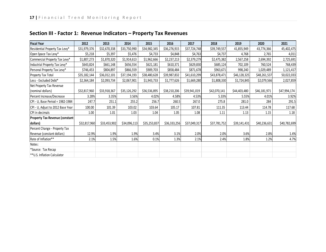| <b>Fiscal Year</b>                    | 2012         | 2013         | 2014         | 2015         | 2016         | 2017         | 2018         | 2019         | 2020         | 2021         |
|---------------------------------------|--------------|--------------|--------------|--------------|--------------|--------------|--------------|--------------|--------------|--------------|
| Residential Property Tax Levy*        | \$31,979,376 | \$32,670,338 | \$33,750,990 | \$34,982,345 | \$36,276,915 | \$37,724,748 | \$39,749,557 | 41,855,949   | 43,774,366   | 45,402,475   |
| Open Space Tax Levy*                  | \$5,218      | \$5,397      | \$5,476      | \$4,733      | \$4,848      | \$4,763      | \$4,737      | 4,768        | 2,765        | 4,011        |
| Commercial Property Tax Levy*         | \$1,807,273  | \$1,870,320  | \$1,914,613  | \$1,962,666  | \$2,237,213  | \$2,379,279  | \$2,475,382  | 2,567,258    | 2,694,392    | 2,725,691    |
| Industrial Property Tax Levy*         | \$643,824    | \$661,148    | \$656,554    | \$621,181    | \$610,371    | \$629,830    | \$685,124    | 702,109      | 760,524      | 768,439      |
| Personal Property Tax Levy*           | \$746,453    | \$804,897    | \$866,559    | \$909,703    | \$858,484    | \$871,678    | \$963,671    | 998,240      | 1,029,489    | 1,121,417    |
| Property Tax Total                    | \$35,182,144 | \$36,012,101 | \$37,194,193 | \$38,480,628 | \$39,987,832 | \$41,610,299 | \$43,878,471 | \$46,128,325 | \$48,261,537 | 50,022,033   |
| Less - Excluded Debt*                 | \$2,364,184  | \$2,093,734  | \$2,067,901  | \$1,943,733  | \$1,777,626  | \$1,669,280  | \$1,808,330  | \$1,724,845  | \$2,079,566  | 2,027,859    |
| Net Property Tax Revenue              |              |              |              |              |              |              |              |              |              |              |
| (nominal dollars)                     | \$32,817,960 | \$33,918,367 | \$35,126,292 | \$36,536,895 | \$38,210,206 | \$39,941,019 | \$42,070,141 | \$44,403,480 | \$46,181,971 | \$47,994,174 |
| Percent Increase/Decrease             | 3.28%        | 3.35%        | 3.56%        | 4.02%        | 4.58%        | 4.53%        | 5.33%        | 5.55%        | 4.01%        | 3.92%        |
| CPI - U, Base Period = 1982-1984      | 247.7        | 251.1        | 255.2        | 256.7        | 260.5        | 267.0        | 275.8        | 281.0        | 284          | 291.5        |
| CPI - U, Adjust to 2012 Base Year     | 100.00       | 101.39       | 103.02       | 103.64       | 105.17       | 107.81       | 111.35       | 113.44       | 114.78       | 117.68       |
| CPI in decimals                       | 1.00         | 1.01         | 1.03         | 1.04         | 1.05         | 1.08         | 1.11         | 1.13         | 1.15         | 1.18         |
| <b>Property Tax Revenue (constant</b> |              |              |              |              |              |              |              |              |              |              |
| dollars)                              | \$32,817,960 | \$33,453,902 | \$34,096,113 | \$35,253,837 | \$36,333,256 | \$37,049,317 | \$37,781,752 | \$39,141,431 | \$40,236,631 | \$40,782,699 |
| Percent Change - Property Tax         |              |              |              |              |              |              |              |              |              |              |
| Revenue (constant dollars)            | 12.9%        | 1.9%         | 1.9%         | 3.4%         | 3.1%         | 2.0%         | 2.0%         | 3.6%         | 2.8%         | 1.4%         |
| Rate of Inflation**                   | 2.1%         | 1.5%         | 1.6%         | 0.1%         | 1.3%         | 2.1%         | 2.4%         | 1.8%         | 1.2%         | 4.7%         |
| Notes:                                |              |              |              |              |              |              |              |              |              |              |
| *Source: Tax Recap                    |              |              |              |              |              |              |              |              |              |              |
| ** U.S. Inflation Calculator          |              |              |              |              |              |              |              |              |              |              |

## **Section III - Factor 1: Revenue Indicators – Property Tax Revenues**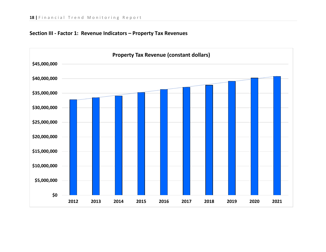

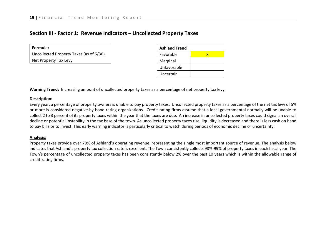| Formula:                                |
|-----------------------------------------|
| Uncollected Property Taxes (as of 6/30) |
| Net Property Tax Levy                   |

| <b>Ashland Trend</b> |  |  |  |  |  |  |  |
|----------------------|--|--|--|--|--|--|--|
| Favorable            |  |  |  |  |  |  |  |
| Marginal             |  |  |  |  |  |  |  |
| Unfavorable          |  |  |  |  |  |  |  |
| Uncertain            |  |  |  |  |  |  |  |

**Warning Trend:** Increasing amount of uncollected property taxes as a percentage of net property tax levy.

### **Description:**

Every year, a percentage of property owners is unable to pay property taxes. Uncollected property taxes as a percentage of the net tax levy of 5% or more is considered negative by bond rating organizations. Credit-rating firms assume that a local governmental normally will be unable to collect 2 to 3 percent of its property taxes within the year that the taxes are due. An increase in uncollected property taxes could signal an overall decline or potential instability in the tax base of the town. As uncollected property taxes rise, liquidity is decreased and there is less cash on hand to pay bills or to invest. This early warning indicator is particularly critical to watch during periods of economic decline or uncertainty.

### **Analysis:**

Property taxes provide over 70% of Ashland's operating revenue, representing the single most important source of revenue. The analysis below indicates that Ashland's property tax collection rate is excellent. The Town consistently collects 98%-99% of property taxes in each fiscal year. The Town's percentage of uncollected property taxes has been consistently below 2% over the past 10 years which is within the allowable range of credit-rating firms.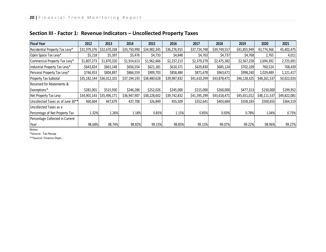| <b>Fiscal Year</b>                | 2012         | 2013         | 2014         | 2015         | 2016         | 2017         | 2018         | 2019           | 2020         | 2021         |
|-----------------------------------|--------------|--------------|--------------|--------------|--------------|--------------|--------------|----------------|--------------|--------------|
| Residential Property Tax Levy*    | \$31,979,376 | \$32,670,338 | \$33,750,990 | \$34,982,345 | \$36,276,915 | \$37,724,748 | \$39,749,557 | \$41,855,949   | 43,774,366   | 45,402,475   |
| Open Space Tax Levy*              | \$5,218      | \$5,397      | \$5,476      | \$4,733      | \$4,848      | \$4,763      | \$4,737      | \$4,768        | 2,765        | 4,011        |
| Commercial Property Tax Levy*     | \$1,807,273  | \$1,870,320  | \$1,914,613  | \$1,962,666  | \$2,237,213  | \$2,379,279  | \$2,475,382  | \$2,567,258    | 2,694,392    | 2,725,691    |
| Industrial Property Tax Levy*     | \$643,824    | \$661,148    | \$656,554    | \$621,181    | \$610,371    | \$629,830    | \$685,124    | \$702,109      | 760,524      | 768,439      |
| Personal Property Tax Levy*       | \$746,453    | \$804,897    | \$866,559    | \$909,703    | \$858,484    | \$871,678    | \$963,671    | \$998,240      | 1,029,489    | 1,121,417    |
| <b>Property Tax Subtotal</b>      | \$35,182,144 | \$36,012,101 | \$37,194,193 | \$38,480,628 | \$39,987,832 | \$41,610,299 | \$43,878,471 | \$46, 128, 325 | \$48,261,537 | 50,022,033   |
| Reserved for Abatements &         |              |              |              |              |              |              |              |                |              |              |
| Exemptions*                       | \$281,001    | \$515,930    | \$246,286    | \$252,026    | \$245,000    | \$215,000    | \$260,000    | \$477,313      | \$150,000    | \$199,952    |
| Net Property Tax Levy             | \$34,901,143 | \$35,496,171 | \$36,947,907 | \$38,228,602 | \$39,742,832 | \$41,395,299 | \$43,618,471 | \$45,651,012   | \$48,111,537 | \$49,822,081 |
| Uncollected Taxes as of June 30** | 460,604      | 447,679      | 437,708      | 326,849      | 455,509      | \$352,641    | \$403,684    | \$358,183      | \$500,655    | \$364,519    |
| Uncollected Taxes as a            |              |              |              |              |              |              |              |                |              |              |
| Percentage of Net Property Tax    | 1.32%        | 1.26%        | 1.18%        | 0.85%        | 1.15%        | 0.85%        | 0.93%        | 0.78%          | 1.04%        | 0.73%        |
| Percentage Collected in Current   |              |              |              |              |              |              |              |                |              |              |
| Year                              | 98.68%       | 98.74%       | 98.82%       | 99.15%       | 98.85%       | 99.15%       | 99.07%       | 99.22%         | 98.96%       | 99.27%       |

Notes:

\*Source: Tax Recap

\*\*Source: Finance Dept.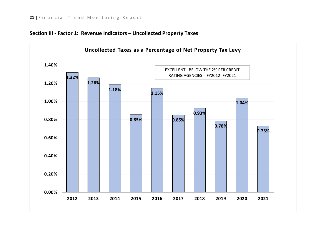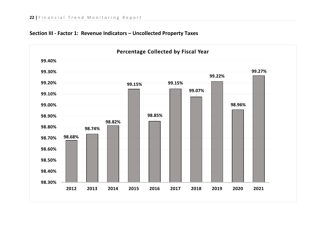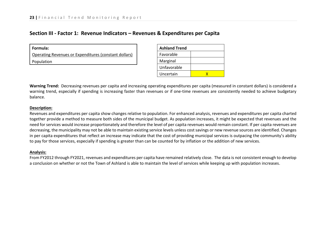### **Section III - Factor 1: Revenue Indicators – Revenues & Expenditures per Capita**

| l Formula:                                            |
|-------------------------------------------------------|
| Operating Revenues or Expenditures (constant dollars) |
| <b>Population</b>                                     |
|                                                       |

| <b>Ashland Trend</b> |  |  |  |  |  |
|----------------------|--|--|--|--|--|
| Favorable            |  |  |  |  |  |
| Marginal             |  |  |  |  |  |
| Unfavorable          |  |  |  |  |  |
| Uncertain            |  |  |  |  |  |

**Warning Trend:** Decreasing revenues per capita and increasing operating expenditures per capita (measured in constant dollars) is considered a warning trend, especially if spending is increasing faster than revenues or if one-time revenues are consistently needed to achieve budgetary balance.

#### **Description:**

Revenues and expenditures per capita show changes relative to population. For enhanced analysis, revenues and expenditures per capita charted together provide a method to measure both sides of the municipal budget. As population increases, it might be expected that revenues and the need for services would increase proportionately and therefore the level of per capita revenues would remain constant. If per capita revenues are decreasing, the municipality may not be able to maintain existing service levels unless cost savings or new revenue sources are identified. Changes in per capita expenditures that reflect an increase may indicate that the cost of providing municipal services is outpacing the community's ability to pay for those services, especially if spending is greater than can be counted for by inflation or the addition of new services.

### **Analysis:**

From FY2012 through FY2021, revenues and expenditures per capita have remained relatively close. The data is not consistent enough to develop a conclusion on whether or not the Town of Ashland is able to maintain the level of services while keeping up with population increases.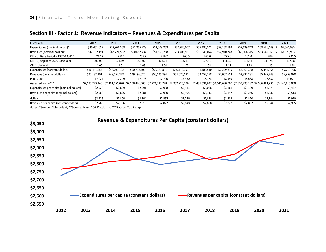| <b>Fiscal Year</b>                        | 2012         | 2013         | 2014         | 2015         | 2016                                                                                                                                   | 2017         | 2018         | 2019                                                            | 2020         | 2021            |
|-------------------------------------------|--------------|--------------|--------------|--------------|----------------------------------------------------------------------------------------------------------------------------------------|--------------|--------------|-----------------------------------------------------------------|--------------|-----------------|
| Expenditures (nominal dollars)*           | \$46,451,657 | \$48,961,563 | \$52,265,228 | \$52,008,253 | \$52,730,607                                                                                                                           | \$55,180,542 | \$58,158,192 | \$59,629,843                                                    | \$63,636,449 | 65,561,935      |
| Revenues (nominal dollars)*               | \$47,132,191 | \$48,721,532 | \$50,682,434 | \$51,866,788 | \$53,708,861                                                                                                                           | \$56,546,074 | \$57,910,743 | \$60,504,315                                                    | \$63,642,963 | 67,023,933      |
| CPI - U, Base Period = 1982-1984**        | 247.7        | 251.1        | 255.2        | 256.7        | 260.5                                                                                                                                  | 267.0        | 275.8        | 281.0                                                           | 284          | 291.5           |
| CPI - U, Adjust to 2006 Base Year         | 100.00       | 101.39       | 103.02       | 103.64       | 105.17                                                                                                                                 | 107.81       | 111.35       | 113.44                                                          | 114.78       | 117.68          |
| CPI in decimals                           | 1.00         | 1.01         | 1.03         | 1.04         | 1.05                                                                                                                                   | 1.08         | 1.11         | 1.13                                                            | 1.15         | 1.18            |
| Expenditures (constant dollars)           | \$46,451,657 | \$48,291,102 | \$50,732,401 | \$50,181,891 | \$50,140,391                                                                                                                           | 51,185,510   | 52,229,879   | 52,563,388                                                      | 55,444,068   | 55,710,776      |
| Revenues (constant dollars)               | \$47,132,191 | \$48,054,358 | \$49,196,027 | \$50,045,394 | \$51,070,592                                                                                                                           | 52,452,178   | 52,007,654   | 53,334,231                                                      | 55,449,743   | 56,953,098      |
| Population                                | 17,027       | 17,249       | 17,473       | 17,700       | 17,930                                                                                                                                 | 18,163       | 18,399       | 18,638                                                          | 18,832       | 19,077          |
| Assessed Value***                         |              |              |              |              | $\frac{2}{2}$ ,123,243,440 $\frac{2}{2}$ ,101,056,070 $\frac{2}{2}$ ,138,826,500 $\frac{2}{2}$ ,224,313,748 $\frac{2}{2}$ ,352,225,396 |              |              | \$2,491,634,647 \$2,641,690,000 \$2,833,435,192 \$2,986,481,230 |              | \$3,140,115,050 |
| Expenditures per capita (nominal dollars) | \$2,728      | \$2,839      | \$2,991      | \$2,938      | \$2,941                                                                                                                                | \$3,038      | \$3,161      | \$3,199                                                         | \$3,379      | \$3,437         |
| Revenues per capita (nominal dollars)     | \$2,768      | \$2,825      | \$2,901      | \$2,930      | \$2,995                                                                                                                                | \$3,113      | \$3,147      | \$3,246                                                         | \$3,380      | \$3,513         |
| dollars)                                  | \$2,728      | \$2,800      | \$2,904      | \$2,835      | \$2,796                                                                                                                                | \$2,818      | \$2,839      | \$2,820                                                         | \$2,944      | \$2,920         |
| Revenues per capita (constant dollars)    | \$2,768      | \$2,786      | \$2,816      | \$2,827      | \$2,848                                                                                                                                | \$2,888      | \$2,827      | \$2,862                                                         | \$2,944      | \$2,985         |

### **Section III - Factor 1: Revenue Indicators – Revenues & Expenditures per Capita**

Notes: \*Source: Schedule A, \*\*Source: Mass DOR Databank, \*\*\*Source: Tax Recap

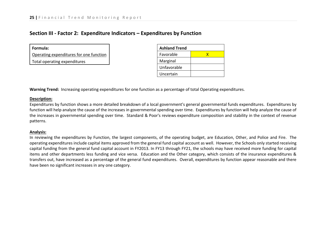### **Section III - Factor 2: Expenditure Indicators – Expenditures by Function**

| Formula:                                |
|-----------------------------------------|
| Operating expenditures for one function |
| Total operating expenditures            |

| <b>Ashland Trend</b> |  |  |  |  |  |  |
|----------------------|--|--|--|--|--|--|
| Favorable            |  |  |  |  |  |  |
| Marginal             |  |  |  |  |  |  |
| Unfavorable          |  |  |  |  |  |  |
| Uncertain            |  |  |  |  |  |  |

**Warning Trend:** Increasing operating expenditures for one function as a percentage of total Operating expenditures.

#### **Description:**

Expenditures by function shows a more detailed breakdown of a local government's general governmental funds expenditures. Expenditures by function will help analyze the cause of the increases in governmental spending over time. Expenditures by function will help analyze the cause of the increases in governmental spending over time. Standard & Poor's reviews expenditure composition and stability in the context of revenue patterns.

### **Analysis:**

In reviewing the expenditures by Function, the largest components, of the operating budget, are Education, Other, and Police and Fire. The operating expenditures include capital items approved from the general fund capital account as well. However, the Schools only started receiving capital funding from the general fund capital account in FY2013. In FY13 through FY21, the schools may have received more funding for capital items and other departments less funding and vice versa. Education and the Other category, which consists of the insurance expenditures & transfers out, have increased as a percentage of the general fund expenditures. Overall, expenditures by function appear reasonable and there have been no significant increases in any one category.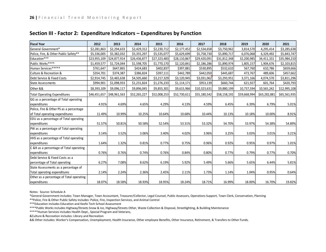| <b>Fiscal Year</b>                       | 2012         | 2013         | 2014         | 2015         | 2016         | 2017         | 2018         | 2019         | 2020         | 2021         |
|------------------------------------------|--------------|--------------|--------------|--------------|--------------|--------------|--------------|--------------|--------------|--------------|
| General Government*                      | \$2,281,863  | \$2,294,633  | \$2,429,312  | \$2,230,712  | \$2,177,452  | \$2,534,658  | \$3,750,962  | 3,814,570    | 4,295,414    | \$3,285,638  |
| Police, Fire, & Other Public Safety**    | \$5,336,005  | \$5,382,032  | \$5,355,297  | \$5,535,077  | \$5,629,699  | \$5,758,730  | \$5,890,717  | 6,076,068    | 6,329,492    | \$5,843,747  |
| Education***                             | \$23,955,109 | \$24,877,914 | \$26,436,877 | \$27,323,483 | \$28,110,867 | \$29,420,091 | \$31,812,348 | 32,200,985   | 34,411,331   | \$35,984,210 |
| Public Works****                         | \$1,459,577  | \$1,724,044  | \$1,598,705  | \$1,770,170  | \$2,120,841  | \$2,186,286  | \$1,890,974  | 1,805,157    | 1,904,676    | \$2,103,815  |
| Human Services*****                      | \$761,647    | \$647,865    | \$424,683    | \$402,837    | \$397,881    | \$530,895    | \$532,610    | 567,760      | 610,786      | \$659,666    |
| Culture & Recreation &                   | \$354,701    | \$374,387    | \$386,824    | \$397,111    | \$442,789    | \$442,050    | \$445,687    | 473,767      | 489,606      | \$457,662    |
| Debt Service & Fixed Costs               | \$2,914,745  | \$3,465,638  | \$4,505,660  | \$3,217,329  | \$3,120,945  | \$3,031,062  | \$3,293,951  | 3,371,166    | 4,074,570    | \$3,811,296  |
| <b>State Assessments</b>                 | \$994,901    | \$1,098,933  | \$1,231,824  | \$1,276,233  | \$1,114,171  | \$953,139    | \$660,744    | 621,927      | 601,764      | \$420,793    |
| Other &&                                 | \$8,393,109  | \$9,096,117  | \$9,896,045  | \$9,855,301  | \$9,615,966  | \$10,323,631 | \$9,880,199  | 10,737,594   | 10,565,242   | \$12,995,108 |
| <b>Total Operating Expenditures</b>      | \$46,451,657 | \$48,961,563 | \$52,265,227 | \$52,008,253 | \$52,730,611 | \$55,180,542 | \$58,158,192 | \$59,668,994 | \$63,282,881 | \$65,561,935 |
| GG as a percentage of Total operating    |              |              |              |              |              |              |              |              |              |              |
| expenditures                             | 4.91%        | 4.69%        | 4.65%        | 4.29%        | 4.13%        | 4.59%        | 6.45%        | 6.39%        | 6.79%        | 5.01%        |
| Police, Fire & Other PS as a percentage  |              |              |              |              |              |              |              |              |              |              |
| of Total operating expenditures          | 11.49%       | 10.99%       | 10.25%       | 10.64%       | 10.68%       | 10.44%       | 10.13%       | 10.18%       | 10.00%       | 8.91%        |
| EDU as a percentage of Total operating   |              |              |              |              |              |              |              |              |              |              |
| expenditures                             | 51.57%       | 50.81%       | 50.58%       | 52.54%       | 53.31%       | 53.32%       | 54.70%       | 53.97%       | 54.38%       | 54.89%       |
| PW as a percentage of Total operating    |              |              |              |              |              |              |              |              |              |              |
| expenditures                             | 3.14%        | 3.52%        | 3.06%        | 3.40%        | 4.02%        | 3.96%        | 3.25%        | 3.03%        | 3.01%        | 3.21%        |
| HHS as a percentage of Total operating   |              |              |              |              |              |              |              |              |              |              |
| expenditures                             | 1.64%        | 1.32%        | 0.81%        | 0.77%        | 0.75%        | 0.96%        | 0.92%        | 0.95%        | 0.97%        | 1.01%        |
| C &R as a percentage of Total operating  |              |              |              |              |              |              |              |              |              |              |
| expenditures                             | 0.76%        | 0.76%        | 0.74%        | 0.76%        | 0.84%        | 0.80%        | 0.77%        | 0.79%        | 0.77%        | 0.70%        |
| Debt Service & Fixed Costs as a          |              |              |              |              |              |              |              |              |              |              |
| percentage of Total operating            | 6.27%        | 7.08%        | 8.62%        | 6.19%        | 5.92%        | 5.49%        | 5.66%        | 5.65%        | 6.44%        | 5.81%        |
| State Assessments as a percentage of     |              |              |              |              |              |              |              |              |              |              |
| Total operating expenditures             | 2.14%        | 2.24%        | 2.36%        | 2.45%        | 2.11%        | 1.73%        | 1.14%        | 1.04%        | 0.95%        | 0.64%        |
| Other as a percentage of Total operating |              |              |              |              |              |              |              |              |              |              |
| expenditures                             | 18.07%       | 18.58%       | 18.93%       | 18.95%       | 18.24%       | 18.71%       | 16.99%       | 18.00%       | 16.70%       | 19.82%       |

### **Section III - Factor 2: Expenditure Indicators – Expenditures by Function**

Notes: Source: Schedule A

\*General Government includes: Town Manager, Town Accountant, Treasurer/Collector, Legal Counsel, Public Assessors, Operations Support, Town Clerk, Conservation, Planning

\*\*Police, Fire & Other Public Safety includes: Police, Fire, Inspection Services, and Animal Control

\*\*\*Education includes Education and Keefe Tech School Assessment

\*\*\*\*Public Works includes Highway/Streets Snow & Ice, Highway/Streets Other, Waste Collection & Disposal, Streetlighting, & Building Maintenance

\*\*\*\*\*Human Services includes Health Dept., Special Program and Veterans,

&Culture & Recreation includes: Library and Recreation

&& Other includes: Worker's Compensation, Unemployment, Health Insurance, Other employee Benefits, Other Insurance, Retirement, & Transfers to Other Funds.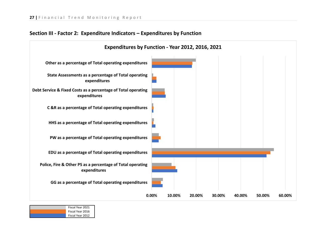### **Section III - Factor 2: Expenditure Indicators – Expenditures by Function**



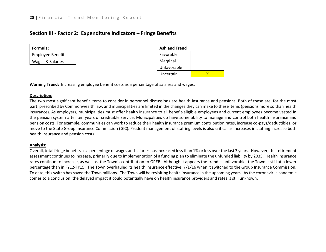### **Section III - Factor 2: Expenditure Indicators – Fringe Benefits**

| Formula:                 |  |  |  |  |
|--------------------------|--|--|--|--|
| <b>Employee Benefits</b> |  |  |  |  |
| Wages & Salaries         |  |  |  |  |

| <b>Ashland Trend</b> |  |  |  |  |  |
|----------------------|--|--|--|--|--|
| Favorable            |  |  |  |  |  |
| Marginal             |  |  |  |  |  |
| Unfavorable          |  |  |  |  |  |
| Uncertain            |  |  |  |  |  |

**Warning Trend:** Increasing employee benefit costs as a percentage of salaries and wages.

#### **Description:**

The two most significant benefit items to consider in personnel discussions are health insurance and pensions. Both of these are, for the most part, prescribed by Commonwealth law, and municipalities are limited in the changes they can make to these items (pensions more so than health insurance). As employers, municipalities must offer health insurance to all benefit-eligible employees and current employees become vested in the pension system after ten years of creditable service. Municipalities do have some ability to manage and control both health insurance and pension costs. For example, communities can work to reduce their health insurance premium contribution rates, increase co-pays/deductibles, or move to the State Group Insurance Commission (GIC). Prudent management of staffing levels is also critical as increases in staffing increase both health insurance and pension costs.

#### **Analysis:**

Overall, total fringe benefits as a percentage of wages and salaries has increased less than 1% or less over the last 3 years. However, the retirement assessment continues to increase, primarily due to implementation of a funding plan to eliminate the unfunded liability by 2035. Health insurance rates continue to increase, as well as, the Town's contribution to OPEB. Although it appears the trend is unfavorable, the Town is still at a lower percentage than in FY12-FY15. The Town overhauled its health insurance effective, 7/1/16 when it switched to the Group Insurance Commission. To date, this switch has saved the Town millions. The Town will be revisiting health insurance in the upcoming years. As the coronavirus pandemic comes to a conclusion, the delayed impact it could potentially have on health insurance providers and rates is still unknown.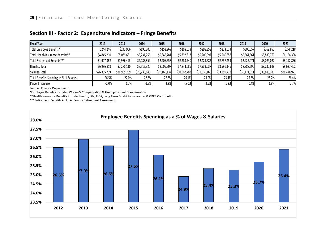| <b>Fiscal Year</b>                       | 2012         | 2013         | 2014         | 2015         | 2016         | 2017         | 2018         | 2019         | 2020         | 2021         |
|------------------------------------------|--------------|--------------|--------------|--------------|--------------|--------------|--------------|--------------|--------------|--------------|
| Total Employee Benefits*                 | \$244,246    | \$243,956    | \$195,205    | \$153,269    | \$168,033    | \$298,358    | \$273,034    | \$305,057    | \$369,857    | \$278,218    |
| Total Health Insurance Benefits**        | \$4,845,210  | \$5,039,661  | \$5,231,756  | \$5,646,781  | \$5,392,313  | \$5,209,997  | \$5,560,658  | \$5,661,561  | \$5,833,769  | \$6,156,308  |
| Total Retirement Benefits***             | \$1,907,362  | \$1,986,493  | \$2,085,359  | \$2,206,657  | \$2,283,740  | \$2,424,682  | \$2,757,454  | \$2,922,071  | \$3,029,022  | \$3,192,876  |
| <b>Benefits Total</b>                    | \$6,996,818  | \$7,270,110  | \$7,512,320  | \$8,006,707  | \$7,844,086  | \$7,933,037  | \$8,591,146  | \$8,888,690  | \$9,232,648  | \$9,627,402  |
| Salaries Total                           | \$26,395,739 | \$26,965,209 | \$28,230,649 | \$29,165,137 | \$30,062,783 | \$31,835,160 | \$33,859,722 | \$35,171,011 | \$35,889,331 | \$36,448,977 |
| Total Benefits Spending as % of Salaries | 26.5%        | 27.0%        | 26.6%        | 27.5%        | 26.1%        | 24.9%        | 25.4%        | 25.3%        | 25.7%        | 26.4%        |
| Percent Increase                         | $-2.0%$      | 1.7%         | $-1.3%$      | 3.2%         | $-5.0%$      | $-4.5%$      | 1.8%         | $-0.4%$      | 1.8%         | 2.7%         |

### **Section III - Factor 2: Expenditure Indicators – Fringe Benefits**

Source: Finance Department

\*Employee Benefits include: Worker's Compensation & Unemployment Compensation

\*\*Health Insurance Benefits include: Health, Life, FICA, Long Term Disability Insurance, & OPEB Contribution

\*\*\*Retirement Benefits include: County Retirement Assessment

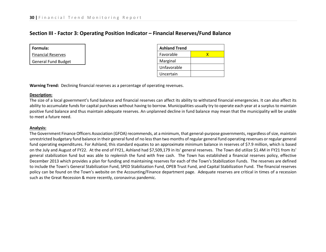### **Section III - Factor 3: Operating Position Indicator – Financial Reserves/Fund Balance**

| Formula:                   |  |  |  |  |  |
|----------------------------|--|--|--|--|--|
| <b>Financial Reserves</b>  |  |  |  |  |  |
| <b>General Fund Budget</b> |  |  |  |  |  |

| <b>Ashland Trend</b> |  |  |  |  |  |
|----------------------|--|--|--|--|--|
| Favorable            |  |  |  |  |  |
| Marginal             |  |  |  |  |  |
| Unfavorable          |  |  |  |  |  |
| Uncertain            |  |  |  |  |  |

**Warning Trend:** Declining financial reserves as a percentage of operating revenues.

### **Description:**

The size of a local government's fund balance and financial reserves can affect its ability to withstand financial emergencies. It can also affect its ability to accumulate funds for capital purchases without having to borrow. Municipalities usually try to operate each year at a surplus to maintain positive fund balance and thus maintain adequate reserves. An unplanned decline in fund balance may mean that the municipality will be unable to meet a future need.

### **Analysis:**

The Government Finance Officers Association (GFOA) recommends, at a minimum, that general-purpose governments, regardless of size, maintain unrestricted budgetary fund balance in their general fund of no less than two months of regular general fund operating revenues or regular general fund operating expenditures. For Ashland, this standard equates to an approximate minimum balance in reserves of \$7.9 million, which is based on the July and August of FY22. At the end of FY21, Ashland had \$7,509,179 in its' general reserves. The Town did utilize \$1.4M in FY21 from its' general stabilization fund but was able to replenish the fund with free cash. The Town has established a financial reserves policy, effective December 2013 which provides a plan for funding and maintaining reserves for each of the Town's Stabilization Funds. The reserves are defined to include the Town's General Stabilization Fund, SPED Stabilization Fund, OPEB Trust Fund, and Capital Stabilization Fund. The financial reserves policy can be found on the Town's website on the Accounting/Finance department page. Adequate reserves are critical in times of a recession such as the Great Recession & more recently, coronavirus pandemic.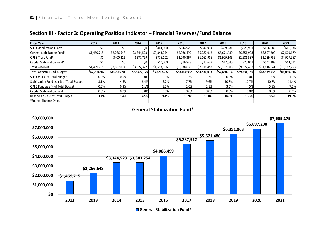| <b>Fiscal Year</b>                        | 2012         | 2013         | 2014         | 2015         | 2016                               | 2017         | 2018         | 2019         | 2020         | 2021         |
|-------------------------------------------|--------------|--------------|--------------|--------------|------------------------------------|--------------|--------------|--------------|--------------|--------------|
| SPED Stabilization Fund*                  | \$0          | \$0          | \$0          | \$464,000    | \$644,928                          | \$647,914    | \$489,281    | \$623,951    | \$636,682    | \$661,936    |
| General Stabilization Fund*               | \$1,469,715  | \$2,266,648  | \$3,344,523  | \$3,343,254  | \$4,086,499                        | \$5,287,912  | \$5,671,480  | \$6,351,903  | \$6,897,200  | \$7,509,179  |
| OPEB Trust Fund*                          | \$0          | \$400,426    | \$577,799    | \$776,102    | \$1,090,367                        | \$1,162,986  | \$1,929,105  | \$2,681,587  | \$3,739,756  | \$4,927,967  |
| Capital Stabilization Fund*               | \$0          | \$0          | \$0          | \$10,000     | \$16,843                           | \$17,639     | \$17,640     | \$20,011     | \$542,403    | \$63,671     |
| <b>Total Reserves</b>                     | \$1,469,715  | \$2,667,074  | \$3,922,322  | \$4,593,356  | \$5,838,636                        | \$7,116,452  | \$8,107,506  | \$9,677,452  | \$11,816,041 | \$13,162,753 |
| Total General Fund Budget                 | \$47,200,662 | \$49,663,200 | \$52,424,175 | \$50,213,782 | \$53,400,938                       | \$54,830,013 | \$54,830,014 | \$59,531,185 | \$63,979,538 | \$66,030,936 |
| SPED as a % of Total Budget               | 0.0%         | 0.0%         | 0.0%         | 0.9%         | 1.2%                               | 1.2%         | 0.9%         | 1.0%         | 1.0%         | 1.0%         |
| Stabilization Fund as a % of Total Budget | 3.1%         | 4.6%         | 6.4%         | 6.7%         | 7.7%                               | 9.6%         | 10.3%        | 10.7%        | 10.8%        | 11.4%        |
| OPEB Fund as a % of Total Budget          | 0.0%         | 0.8%         | 1.1%         | 1.5%         | 2.0%                               | 2.1%         | 3.5%         | 4.5%         | 5.8%         | 7.5%         |
| Capital Stabilization Fund                | 0.0%         | 0.0%         | 0.0%         | 0.0%         | 0.0%                               | 0.0%         | 0.0%         | 0.0%         | 0.8%         | 0.1%         |
| Reserves as a % of Total Budget           | 3.1%         | 5.4%         | 7.5%         | 9.1%         | 10.9%                              | 13.0%        | 14.8%        | 16.3%        | 18.5%        | 19.9%        |
| *Source: Finance Dept.                    |              |              |              |              |                                    |              |              |              |              |              |
| \$8,000,000                               |              |              |              |              | <b>General Stabilization Fund*</b> |              |              |              | \$6,897,200  | \$7,509,179  |

### **Section III - Factor 3: Operating Position Indicator – Financial Reserves/Fund Balance**

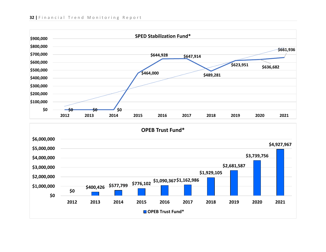

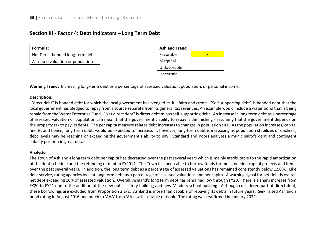### **Section III - Factor 4: Debt Indicators – Long Term Debt**

| Formula:                         |  |  |
|----------------------------------|--|--|
| Net Direct bonded long-term debt |  |  |
|                                  |  |  |

Assessed valuation or population

| <b>Ashland Trend</b> |   |  |  |  |  |  |  |
|----------------------|---|--|--|--|--|--|--|
| Favorable            | x |  |  |  |  |  |  |
| Marginal             |   |  |  |  |  |  |  |
| Unfavorable          |   |  |  |  |  |  |  |
| Uncertain            |   |  |  |  |  |  |  |

**Warning Trend:** Increasing long-term debt as a percentage of assessed valuation, population, or personal income.

#### **Description:**

"Direct debt" is bonded debt for which the local government has pledged its full faith and credit. "Self-supporting debt" is bonded debt that the local government has pledged to repay from a source separate from its general tax revenues. An example would include a water bond that is being repaid from the Water Enterprise Fund. "Net direct debt" is direct debt minus self-supporting debt. An increase in long term debt as a percentage of assessed valuation or population can mean that the government's ability to repay is diminishing - assuming that the government depends on the property tax to pay its debts. The per capita measure relates debt increases to changes in population size. As the population increases, capital needs, and hence, long-term debt, would be expected to increase. If, however, long-term debt is increasing as population stabilizes or declines, debt levels may be reaching or exceeding the government's ability to pay. Standard and Poors analyzes a municipality's debt and contingent liability position in great detail.

#### **Analysis**:

The Town of Ashland's long term debt per capita has decreased over the past several years which is mainly attributable to the rapid amortization of the debt schedule and the refunding of debt in FY2014. The Town has been able to borrow funds for much needed capital projects and items over the past several years. In addition, the long term debt as a percentage of assessed valuations has remained consistently below 1.50%. Like debt service, rating agencies look at long term debt as a percentage of assessed valuations and per capita. A warning signal for net debt is overall net debt exceeding 10% of assessed valuation. Overall, Ashland's long term debt has remained low through FY20. There is a sharp increase from FY20 to FY21 due to the addition of the new public safety building and new Mindess school building. Although considered part of direct debt, these borrowings are excluded from Proposition 2 1/2. Ashland is more than capable of repaying its debts in future years. S&P raised Ashland's bond rating in August 2016 one notch to 'AAA' from 'AA+' with a stable outlook. The rating was reaffirmed in January 2022.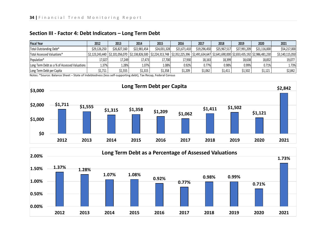| <b>Fiscal Year</b>                           | 2012         | 2013         | 2014         | 2015         | 2016                                                                                                                                                          | 2017         | 2018         | 2019         | 2020         | 2021            |
|----------------------------------------------|--------------|--------------|--------------|--------------|---------------------------------------------------------------------------------------------------------------------------------------------------------------|--------------|--------------|--------------|--------------|-----------------|
| Total Outstanding Debt*                      | \$29,126,250 | \$26,827,160 | \$22,981,454 | \$24,031,328 | \$21,671,410                                                                                                                                                  | \$19,296,450 | \$25,967,517 | \$27,991,209 | \$21,116,000 | \$54,217,000    |
| Total Assessed Valuations*                   |              |              |              |              | \$2,123,243,440   \$2,101,056,070   \$2,138,826,500   \$2,224,313,748   \$2,352,225,396   \$2,491,634,647   \$2,641,690,000 \$2,833,435,192   \$2,986,481,230 |              |              |              |              | \$3,140,115,050 |
| Population*                                  | 17,027       | 17.249       | 17.473       | 17.700       | 17.930                                                                                                                                                        | 18.163       | 18.399       | 18.638       | 18,832       | 19,077          |
| Long Term Debt as a % of Assessed Valuations | 1.37%        | 1.28%        | 1.07%        | 1.08%        | 0.92%                                                                                                                                                         | 0.77%        | 0.98%        | 0.99%        | 0.71%        | 1.73%           |
| Long Term Debt per Capita                    | 1,711ذ       | \$1,555      | \$1,315      | \$1,358      | \$1,209                                                                                                                                                       | \$1,062      | \$1,411      | \$1,502      | \$1,121      | \$2,842         |

### **Section III - Factor 4: Debt Indicators – Long Term Debt**

Notes: \*Source: Balance Sheet – State of Indebtedness (less self-supporting debt), Tax Recap, Federal Census



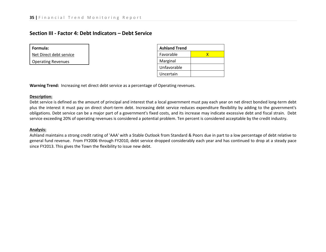### **Section III - Factor 4: Debt Indicators – Debt Service**

| Formula:                  |
|---------------------------|
| Net Direct debt service   |
| <b>Operating Revenues</b> |

| <b>Ashland Trend</b> |   |  |  |  |  |  |
|----------------------|---|--|--|--|--|--|
| Favorable            | x |  |  |  |  |  |
| Marginal             |   |  |  |  |  |  |
| Unfavorable          |   |  |  |  |  |  |
| Uncertain            |   |  |  |  |  |  |

**Warning Trend:** Increasing net direct debt service as a percentage of Operating revenues.

#### **Description:**

Debt service is defined as the amount of principal and interest that a local government must pay each year on net direct bonded long-term debt plus the interest it must pay on direct short-term debt. Increasing debt service reduces expenditure flexibility by adding to the government's obligations. Debt service can be a major part of a government's fixed costs, and its increase may indicate excessive debt and fiscal strain. Debt service exceeding 20% of operating revenues is considered a potential problem. Ten percent is considered acceptable by the credit industry.

### **Analysis:**

Ashland maintains a strong credit rating of 'AAA' with a Stable Outlook from Standard & Poors due in part to a low percentage of debt relative to general fund revenue. From FY2006 through FY2010, debt service dropped considerably each year and has continued to drop at a steady pace since FY2013. This gives the Town the flexibility to issue new debt.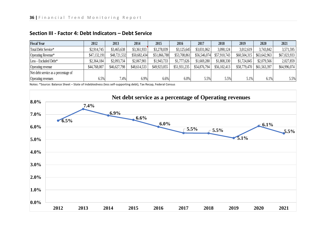| <b>Fiscal Year</b>                  | 2012         | 2013         | 2014         | 2015         | 2016         | 2017         | 2018         | 2019         | 2020         | 2021         |
|-------------------------------------|--------------|--------------|--------------|--------------|--------------|--------------|--------------|--------------|--------------|--------------|
| Total Debt Service*                 | \$2,914,745  | \$3,465,638  | \$3,361,933  | \$3,278,039  | \$3,125,645  | \$3,031,062  | 3,090,124    | 3,012,619    | 3,743,842    | 3,571,595    |
| Operating Revenue*                  | \$47,132,191 | \$48,721,532 | \$50,682,434 | \$51,866,788 | \$53,708,861 | \$56,546,074 | \$57,910,743 | \$60,504,315 | \$63,642,963 | \$67,023,933 |
| Less - Excluded Debt*               | \$2,364,184  | \$2,093,734  | \$2,067,901  | \$1,943,733  | \$1,777,626  | \$1,669,280  | \$1,808,330  | \$1,724,845  | \$2,079,566  | 2,027,859    |
| Operating revenue                   | \$44,768,007 | \$46,627,798 | \$48,614,533 | \$49,923,055 | \$51,931,235 | \$54,876,794 | \$56,102,413 | \$58,779,470 | \$61,563,397 | \$64,996,074 |
| Net debt service as a percentage of |              |              |              |              |              |              |              |              |              |              |
| Operating revenues                  | 6.5%         | 7.4%         | 6.9%         | 6.6%         | 6.0%         | 5.5%         | 5.5%         | 5.1%         | 6.1%         | 5.5%         |

### **Section III - Factor 4: Debt Indicators – Debt Service**

Notes: \*Source: Balance Sheet – State of Indebtedness (less self-supporting debt), Tax Recap, Federal Census

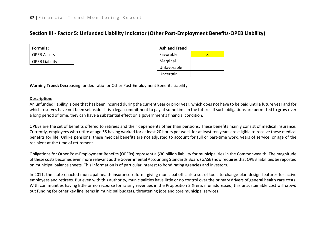### **Section III - Factor 5: Unfunded Liability Indicator (Other Post-Employment Benefits-OPEB Liability)**

| Formula:              |  |  |  |  |  |
|-----------------------|--|--|--|--|--|
| <b>OPEB Assets</b>    |  |  |  |  |  |
| <b>OPEB Liability</b> |  |  |  |  |  |

| <b>Ashland Trend</b> |  |  |  |  |  |  |
|----------------------|--|--|--|--|--|--|
| Favorable            |  |  |  |  |  |  |
| Marginal             |  |  |  |  |  |  |
| Unfavorable          |  |  |  |  |  |  |
| Uncertain            |  |  |  |  |  |  |

**Warning Trend:** Decreasing funded ratio for Other Post-Employment Benefits Liability

#### **Description:**

An unfunded liability is one that has been incurred during the current year or prior year, which does not have to be paid until a future year and for which reserves have not been set aside. It is a legal commitment to pay at some time in the future. If such obligations are permitted to grow over a long period of time, they can have a substantial effect on a government's financial condition.

OPEBs are the set of benefits offered to retirees and their dependents other than pensions. These benefits mainly consist of medical insurance. Currently, employees who retire at age 55 having worked for at least 20 hours per week for at least ten years are eligible to receive these medical benefits for life. Unlike pensions, these medical benefits are not adjusted to account for full or part-time work, years of service, or age of the recipient at the time of retirement.

Obligations for Other Post-Employment Benefits (OPEBs) represent a \$30 billion liability for municipalities in the Commonwealth. The magnitude of these costs becomes even more relevant as the Governmental Accounting Standards Board (GASB) now requires that OPEB liabilities be reported on municipal balance sheets. This information is of particular interest to bond rating agencies and investors.

In 2011, the state enacted municipal health insurance reform, giving municipal officials a set of tools to change plan design features for active employees and retirees. But even with this authority, municipalities have little or no control over the primary drivers of general health care costs. With communities having little or no recourse for raising revenues in the Proposition 2 % era, if unaddressed, this unsustainable cost will crowd out funding for other key line items in municipal budgets, threatening jobs and core municipal services.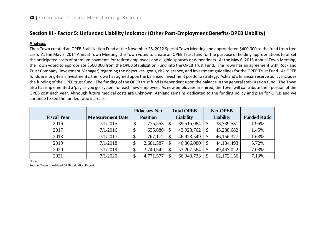### **Section III - Factor 5: Unfunded Liability Indicator (Other Post-Employment Benefits-OPEB Liability)**

### **Analysis:**

Then Town created an OPEB Stabilization Fund at the November 28, 2012 Special Town Meeting and appropriated \$400,000 to the fund from free cash. At the May 7, 2014 Annual Town Meeting, the Town voted to create an OPEB Trust fund for the purpose of holding appropriations to offset the anticipated costs of premium payments for retired employees and eligible spouses or dependents. At the May 6, 2015 Annual Town Meeting, the Town voted to appropriate \$500,000 from the OPEB Stabilization Fund into the OPEB Trust Fund. The Town has an agreement with Rockland Trust Company (Investment Manager) regarding the objectives, goals, risk tolerance, and investment guidelines for the OPEB Trust Fund. As OPEB funds are long-term investments, the Town has agreed upon the balanced investment portfolio strategy. Ashland's financial reserve policy includes the funding of the OPEB trust fund. The funding of the OPEB trust fund is dependent upon the balance in the general stabilization fund. The Town also has implemented a 'pay as you go' system for each new employee. As new employees are hired, the Town will contribute their portion of the OPEB cost each year. Although future medical costs are unknown, Ashland remains dedicated to the funding policy and plan for OPEB and we continue to see the funded ratio increase.

|                    |                         | <b>Fiduciary Net</b> | <b>Total OPEB</b> |    | <b>Net OPEB</b>  |                     |
|--------------------|-------------------------|----------------------|-------------------|----|------------------|---------------------|
| <b>Fiscal Year</b> | <b>Measurement Date</b> | <b>Position</b>      | <b>Liability</b>  |    | <b>Liability</b> | <b>Funded Ratio</b> |
| 2016               | 7/1/2015                | 775,553              | 39,515,084        | S  | 38,739,531       | 1.96%               |
| 2017               | 7/1/2016                | 635,080              | 43,923,762        |    | 43,288,682       | 1.45%               |
| 2018               | 7/1/2017                | 767,172              | 46,923,549        |    | 46,156,377       | 1.63%               |
| 2019               | 7/1/2018                | 2,681,587            | 46,866,080        | \$ | 44,184,493       | 5.72%               |
| 2020               | 7/1/2019                | 3,740,542            | 53, 207, 564      |    | 49,467,022       | 7.03%               |
| 2021               | 7/1/2020                | 4,771,577            | 66,943,733        |    | 62,172,156       | 7.13%               |

Notes:

Source: Town of Ashland OPEB Valuation Report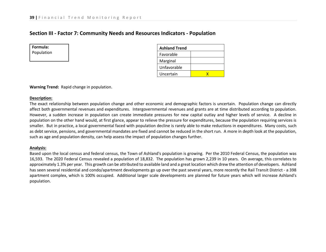### **Section III - Factor 7: Community Needs and Resources Indicators - Population**

**Formula:** Population

| <b>Ashland Trend</b> |  |  |  |  |  |  |
|----------------------|--|--|--|--|--|--|
| Favorable            |  |  |  |  |  |  |
| Marginal             |  |  |  |  |  |  |
| Unfavorable          |  |  |  |  |  |  |
| Uncertain            |  |  |  |  |  |  |

**Warning Trend:** Rapid change in population.

#### **Description:**

The exact relationship between population change and other economic and demographic factors is uncertain. Population change can directly affect both governmental revenues and expenditures. Intergovernmental revenues and grants are at time distributed according to population. However, a sudden increase in population can create immediate pressures for new capital outlay and higher levels of service. A decline in population on the other hand would, at first glance, appear to relieve the pressure for expenditures, because the population requiring services is smaller. But in practice, a local governmental faced with population decline is rarely able to make reductions in expenditures. Many costs, such as debt service, pensions, and governmental mandates are fixed and cannot be reduced in the short run. A more in depth look at the population, such as age and population density, can help assess the impact of population changes further.

#### **Analysis:**

Based upon the local census and federal census, the Town of Ashland's population is growing. Per the 2010 Federal Census, the population was 16,593. The 2020 Federal Census revealed a population of 18,832. The population has grown 2,239 in 10 years. On average, this correlates to approximately 1.3% per year. This growth can be attributed to available land and a great location which drew the attention of developers. Ashland has seen several residential and condo/apartment developments go up over the past several years, more recently the Rail Transit District - a 398 apartment complex, which is 100% occupied. Additional larger scale developments are planned for future years which will increase Ashland's population.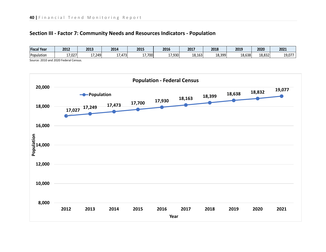### **Section III - Factor 7: Community Needs and Resources Indicators - Population**



Source: 2010 and 2020 Federal Census.

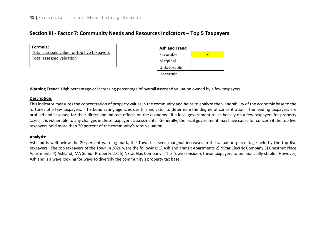### **Section III - Factor 7: Community Needs and Resources Indicators – Top 5 Taxpayers**

**Formula:** Total assessed value for top five taxpayers Total assessed valuation

| <b>Ashland Trend</b> |  |  |  |  |  |  |
|----------------------|--|--|--|--|--|--|
| Favorable            |  |  |  |  |  |  |
| Marginal             |  |  |  |  |  |  |
| Unfavorable          |  |  |  |  |  |  |
| Uncertain            |  |  |  |  |  |  |

**Warning Trend**: High percentage or increasing percentage of overall assessed valuation owned by a few taxpayers.

#### **Description:**

This indicator measures the concentration of property values in the community and helps to analyze the vulnerability of the economic base to the fortunes of a few taxpayers. The bond rating agencies use this indicator to determine the degree of concentration. The leading taxpayers are profiled and assessed for their direct and indirect effects on the economy. If a local government relies heavily on a few taxpayers for property taxes, it is vulnerable to any changes in these taxpayer's assessments. Generally, the local government may have cause for concern if the top five taxpayers hold more than 20 percent of the community's total valuation.

### **Analysis:**

Ashland is well below the 20 percent warning mark, the Town has seen marginal increases in the valuation percentage held by the top five taxpayers. The top taxpayers of the Town in 2020 were the following: 1) Ashland Transit Apartments 2) NStar Electric Company 3) Chestnut Place Apartments 4) Ashland, MA Senior Property LLC 5) NStar Gas Company. The Town considers these taxpayers to be financially stable. However, Ashland is always looking for ways to diversify the community's property tax base.